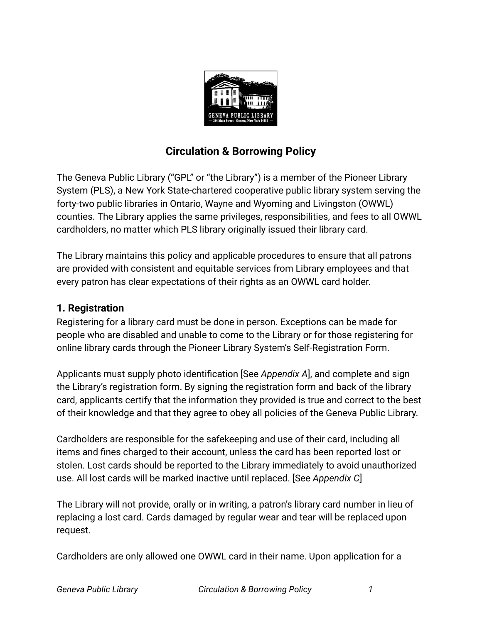

# **Circulation & Borrowing Policy**

The Geneva Public Library ("GPL" or "the Library") is a member of the Pioneer Library System (PLS), a New York State-chartered cooperative public library system serving the forty-two public libraries in Ontario, Wayne and Wyoming and Livingston (OWWL) counties. The Library applies the same privileges, responsibilities, and fees to all OWWL cardholders, no matter which PLS library originally issued their library card.

The Library maintains this policy and applicable procedures to ensure that all patrons are provided with consistent and equitable services from Library employees and that every patron has clear expectations of their rights as an OWWL card holder.

### **1. Registration**

Registering for a library card must be done in person. Exceptions can be made for people who are disabled and unable to come to the Library or for those registering for online library cards through the Pioneer Library System's Self-Registration Form.

Applicants must supply photo identification [See *Appendix A*], and complete and sign the Library's registration form. By signing the registration form and back of the library card, applicants certify that the information they provided is true and correct to the best of their knowledge and that they agree to obey all policies of the Geneva Public Library.

Cardholders are responsible for the safekeeping and use of their card, including all items and fines charged to their account, unless the card has been reported lost or stolen. Lost cards should be reported to the Library immediately to avoid unauthorized use. All lost cards will be marked inactive until replaced. [See *Appendix C*]

The Library will not provide, orally or in writing, a patron's library card number in lieu of replacing a lost card. Cards damaged by regular wear and tear will be replaced upon request.

Cardholders are only allowed one OWWL card in their name. Upon application for a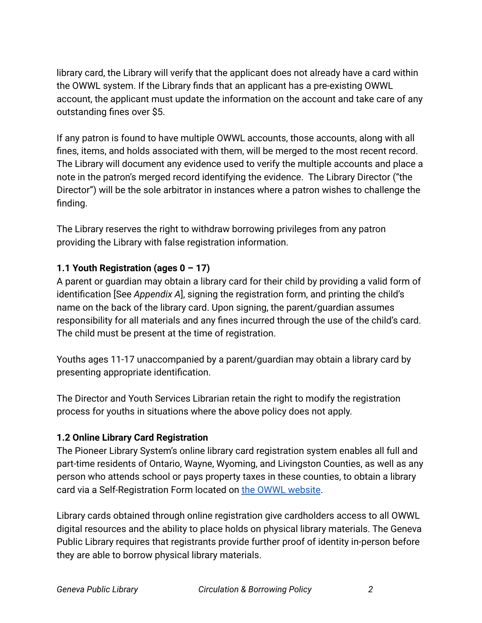library card, the Library will verify that the applicant does not already have a card within the OWWL system. If the Library finds that an applicant has a pre-existing OWWL account, the applicant must update the information on the account and take care of any outstanding fines over \$5.

If any patron is found to have multiple OWWL accounts, those accounts, along with all fines, items, and holds associated with them, will be merged to the most recent record. The Library will document any evidence used to verify the multiple accounts and place a note in the patron's merged record identifying the evidence. The Library Director ("the Director") will be the sole arbitrator in instances where a patron wishes to challenge the finding.

The Library reserves the right to withdraw borrowing privileges from any patron providing the Library with false registration information.

## **1.1 Youth Registration (ages 0 – 17)**

A parent or guardian may obtain a library card for their child by providing a valid form of identification [See *Appendix A*], signing the registration form, and printing the child's name on the back of the library card. Upon signing, the parent/guardian assumes responsibility for all materials and any fines incurred through the use of the child's card. The child must be present at the time of registration.

Youths ages 11-17 unaccompanied by a parent/guardian may obtain a library card by presenting appropriate identification.

The Director and Youth Services Librarian retain the right to modify the registration process for youths in situations where the above policy does not apply.

## **1.2 Online Library Card Registration**

The Pioneer Library System's online library card registration system enables all full and part-time residents of Ontario, Wayne, Wyoming, and Livingston Counties, as well as any person who attends school or pays property taxes in these counties, to obtain a library card via a Self-Registration Form located on [the OWWL](https://owwl.org) website.

Library cards obtained through online registration give cardholders access to all OWWL digital resources and the ability to place holds on physical library materials. The Geneva Public Library requires that registrants provide further proof of identity in-person before they are able to borrow physical library materials.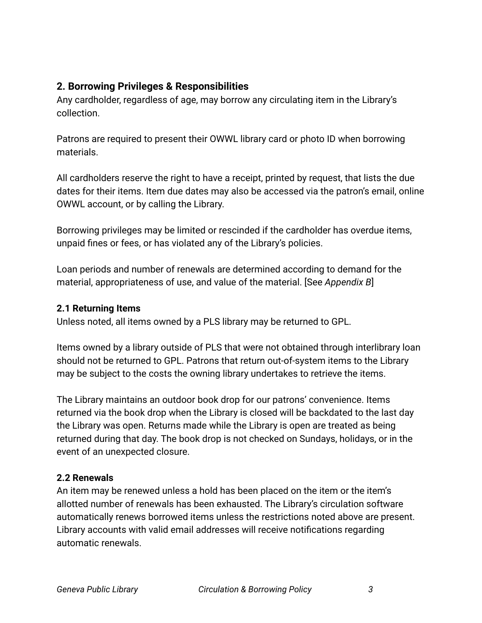## **2. Borrowing Privileges & Responsibilities**

Any cardholder, regardless of age, may borrow any circulating item in the Library's collection.

Patrons are required to present their OWWL library card or photo ID when borrowing materials.

All cardholders reserve the right to have a receipt, printed by request, that lists the due dates for their items. Item due dates may also be accessed via the patron's email, online OWWL account, or by calling the Library.

Borrowing privileges may be limited or rescinded if the cardholder has overdue items, unpaid fines or fees, or has violated any of the Library's policies.

Loan periods and number of renewals are determined according to demand for the material, appropriateness of use, and value of the material. [See *Appendix B*]

#### **2.1 Returning Items**

Unless noted, all items owned by a PLS library may be returned to GPL.

Items owned by a library outside of PLS that were not obtained through interlibrary loan should not be returned to GPL. Patrons that return out-of-system items to the Library may be subject to the costs the owning library undertakes to retrieve the items.

The Library maintains an outdoor book drop for our patrons' convenience. Items returned via the book drop when the Library is closed will be backdated to the last day the Library was open. Returns made while the Library is open are treated as being returned during that day. The book drop is not checked on Sundays, holidays, or in the event of an unexpected closure.

#### **2.2 Renewals**

An item may be renewed unless a hold has been placed on the item or the item's allotted number of renewals has been exhausted. The Library's circulation software automatically renews borrowed items unless the restrictions noted above are present. Library accounts with valid email addresses will receive notifications regarding automatic renewals.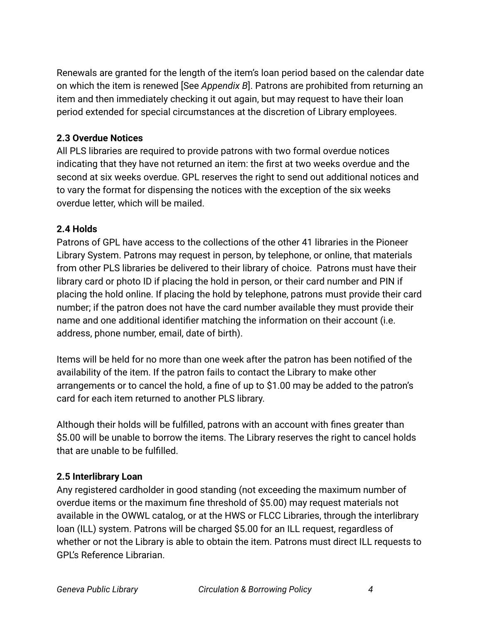Renewals are granted for the length of the item's loan period based on the calendar date on which the item is renewed [See *Appendix B*]. Patrons are prohibited from returning an item and then immediately checking it out again, but may request to have their loan period extended for special circumstances at the discretion of Library employees.

### **2.3 Overdue Notices**

All PLS libraries are required to provide patrons with two formal overdue notices indicating that they have not returned an item: the first at two weeks overdue and the second at six weeks overdue. GPL reserves the right to send out additional notices and to vary the format for dispensing the notices with the exception of the six weeks overdue letter, which will be mailed.

#### **2.4 Holds**

Patrons of GPL have access to the collections of the other 41 libraries in the Pioneer Library System. Patrons may request in person, by telephone, or online, that materials from other PLS libraries be delivered to their library of choice. Patrons must have their library card or photo ID if placing the hold in person, or their card number and PIN if placing the hold online. If placing the hold by telephone, patrons must provide their card number; if the patron does not have the card number available they must provide their name and one additional identifier matching the information on their account (i.e. address, phone number, email, date of birth).

Items will be held for no more than one week after the patron has been notified of the availability of the item. If the patron fails to contact the Library to make other arrangements or to cancel the hold, a fine of up to \$1.00 may be added to the patron's card for each item returned to another PLS library.

Although their holds will be fulfilled, patrons with an account with fines greater than \$5.00 will be unable to borrow the items. The Library reserves the right to cancel holds that are unable to be fulfilled.

## **2.5 Interlibrary Loan**

Any registered cardholder in good standing (not exceeding the maximum number of overdue items or the maximum fine threshold of \$5.00) may request materials not available in the OWWL catalog, or at the HWS or FLCC Libraries, through the interlibrary loan (ILL) system. Patrons will be charged \$5.00 for an ILL request, regardless of whether or not the Library is able to obtain the item. Patrons must direct ILL requests to GPL's Reference Librarian.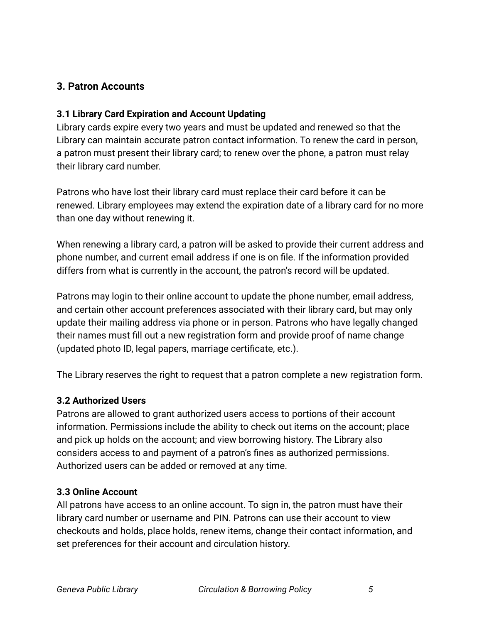## **3. Patron Accounts**

#### **3.1 Library Card Expiration and Account Updating**

Library cards expire every two years and must be updated and renewed so that the Library can maintain accurate patron contact information. To renew the card in person, a patron must present their library card; to renew over the phone, a patron must relay their library card number.

Patrons who have lost their library card must replace their card before it can be renewed. Library employees may extend the expiration date of a library card for no more than one day without renewing it.

When renewing a library card, a patron will be asked to provide their current address and phone number, and current email address if one is on file. If the information provided differs from what is currently in the account, the patron's record will be updated.

Patrons may login to their online account to update the phone number, email address, and certain other account preferences associated with their library card, but may only update their mailing address via phone or in person. Patrons who have legally changed their names must fill out a new registration form and provide proof of name change (updated photo ID, legal papers, marriage certificate, etc.).

The Library reserves the right to request that a patron complete a new registration form.

#### **3.2 Authorized Users**

Patrons are allowed to grant authorized users access to portions of their account information. Permissions include the ability to check out items on the account; place and pick up holds on the account; and view borrowing history. The Library also considers access to and payment of a patron's fines as authorized permissions. Authorized users can be added or removed at any time.

#### **3.3 Online Account**

All patrons have access to an online account. To sign in, the patron must have their library card number or username and PIN. Patrons can use their account to view checkouts and holds, place holds, renew items, change their contact information, and set preferences for their account and circulation history.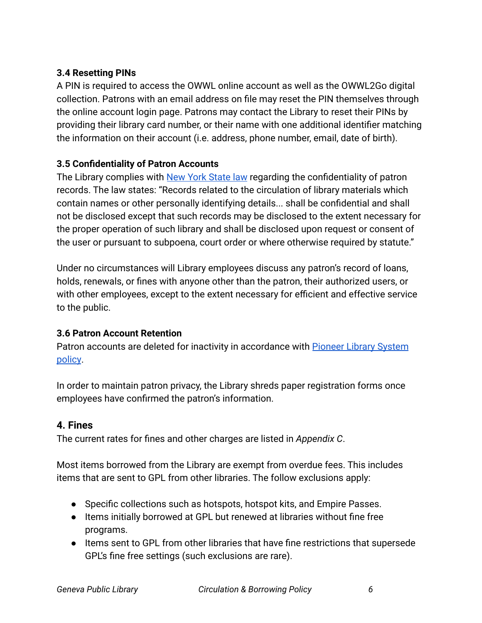## **3.4 Resetting PINs**

A PIN is required to access the OWWL online account as well as the OWWL2Go digital collection. Patrons with an email address on file may reset the PIN themselves through the online account login page. Patrons may contact the Library to reset their PINs by providing their library card number, or their name with one additional identifier matching the information on their account (i.e. address, phone number, email, date of birth).

## **3.5 Confidentiality of Patron Accounts**

The Library complies with [New York State law](https://www.nysenate.gov/legislation/laws/CVP/4509) regarding the confidentiality of patron records. The law states: "Records related to the circulation of library materials which contain names or other personally identifying details... shall be confidential and shall not be disclosed except that such records may be disclosed to the extent necessary for the proper operation of such library and shall be disclosed upon request or consent of the user or pursuant to subpoena, court order or where otherwise required by statute."

Under no circumstances will Library employees discuss any patron's record of loans, holds, renewals, or fines with anyone other than the patron, their authorized users, or with other employees, except to the extent necessary for efficient and effective service to the public.

## **3.6 Patron Account Retention**

Patron accounts are deleted for inactivity in accordance with [Pioneer Library System](https://docs.owwl.org/Evergreen/OwwlPolicy) [policy](https://docs.owwl.org/Evergreen/OwwlPolicy).

In order to maintain patron privacy, the Library shreds paper registration forms once employees have confirmed the patron's information.

## **4. Fines**

The current rates for fines and other charges are listed in *Appendix C*.

Most items borrowed from the Library are exempt from overdue fees. This includes items that are sent to GPL from other libraries. The follow exclusions apply:

- Specific collections such as hotspots, hotspot kits, and Empire Passes.
- Items initially borrowed at GPL but renewed at libraries without fine free programs.
- Items sent to GPL from other libraries that have fine restrictions that supersede GPL's fine free settings (such exclusions are rare).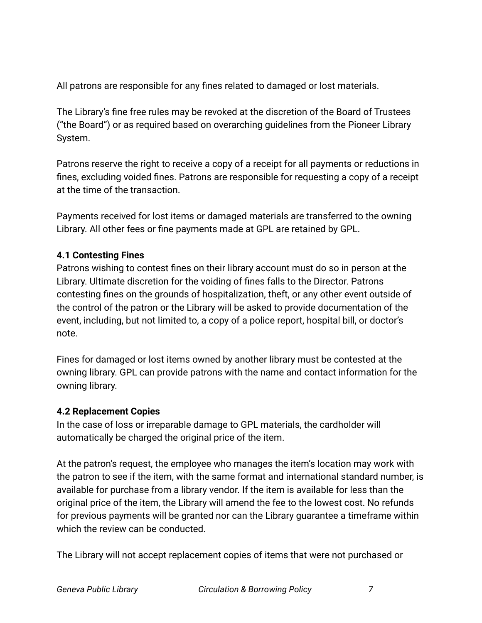All patrons are responsible for any fines related to damaged or lost materials.

The Library's fine free rules may be revoked at the discretion of the Board of Trustees ("the Board") or as required based on overarching guidelines from the Pioneer Library System.

Patrons reserve the right to receive a copy of a receipt for all payments or reductions in fines, excluding voided fines. Patrons are responsible for requesting a copy of a receipt at the time of the transaction.

Payments received for lost items or damaged materials are transferred to the owning Library. All other fees or fine payments made at GPL are retained by GPL.

#### **4.1 Contesting Fines**

Patrons wishing to contest fines on their library account must do so in person at the Library. Ultimate discretion for the voiding of fines falls to the Director. Patrons contesting fines on the grounds of hospitalization, theft, or any other event outside of the control of the patron or the Library will be asked to provide documentation of the event, including, but not limited to, a copy of a police report, hospital bill, or doctor's note.

Fines for damaged or lost items owned by another library must be contested at the owning library. GPL can provide patrons with the name and contact information for the owning library.

#### **4.2 Replacement Copies**

In the case of loss or irreparable damage to GPL materials, the cardholder will automatically be charged the original price of the item.

At the patron's request, the employee who manages the item's location may work with the patron to see if the item, with the same format and international standard number, is available for purchase from a library vendor. If the item is available for less than the original price of the item, the Library will amend the fee to the lowest cost. No refunds for previous payments will be granted nor can the Library guarantee a timeframe within which the review can be conducted.

The Library will not accept replacement copies of items that were not purchased or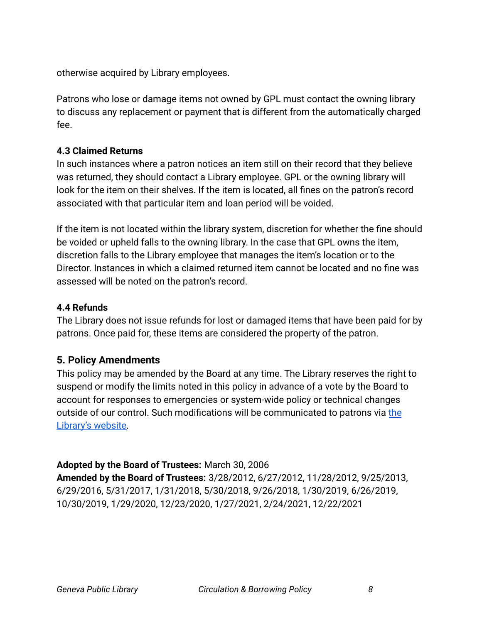otherwise acquired by Library employees.

Patrons who lose or damage items not owned by GPL must contact the owning library to discuss any replacement or payment that is different from the automatically charged fee.

#### **4.3 Claimed Returns**

In such instances where a patron notices an item still on their record that they believe was returned, they should contact a Library employee. GPL or the owning library will look for the item on their shelves. If the item is located, all fines on the patron's record associated with that particular item and loan period will be voided.

If the item is not located within the library system, discretion for whether the fine should be voided or upheld falls to the owning library. In the case that GPL owns the item, discretion falls to the Library employee that manages the item's location or to the Director. Instances in which a claimed returned item cannot be located and no fine was assessed will be noted on the patron's record.

#### **4.4 Refunds**

The Library does not issue refunds for lost or damaged items that have been paid for by patrons. Once paid for, these items are considered the property of the patron.

#### **5. Policy Amendments**

This policy may be amended by the Board at any time. The Library reserves the right to suspend or modify the limits noted in this policy in advance of a vote by the Board to account for responses to emergencies or system-wide policy or technical changes outside of our control. Such modifications will be communicated to patrons via [the](http://www.genevapubliclibrary.net) [Library's website.](http://www.genevapubliclibrary.net)

#### **Adopted by the Board of Trustees:** March 30, 2006

**Amended by the Board of Trustees:** 3/28/2012, 6/27/2012, 11/28/2012, 9/25/2013, 6/29/2016, 5/31/2017, 1/31/2018, 5/30/2018, 9/26/2018, 1/30/2019, 6/26/2019, 10/30/2019, 1/29/2020, 12/23/2020, 1/27/2021, 2/24/2021, 12/22/2021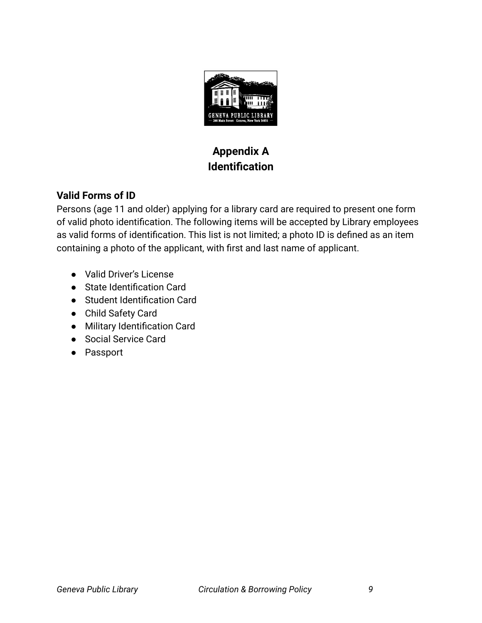

# **Appendix A Identification**

## **Valid Forms of ID**

Persons (age 11 and older) applying for a library card are required to present one form of valid photo identification. The following items will be accepted by Library employees as valid forms of identification. This list is not limited; a photo ID is defined as an item containing a photo of the applicant, with first and last name of applicant.

- Valid Driver's License
- State Identification Card
- Student Identification Card
- Child Safety Card
- Military Identification Card
- Social Service Card
- Passport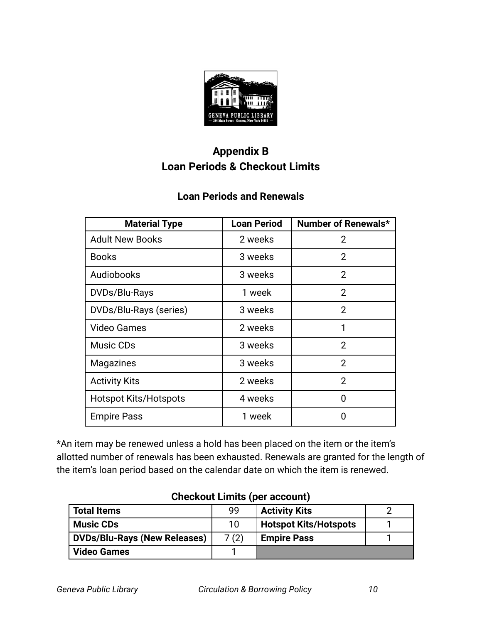

# **Appendix B Loan Periods & Checkout Limits**

# **Loan Periods and Renewals**

| <b>Material Type</b>         | <b>Loan Period</b> | Number of Renewals* |
|------------------------------|--------------------|---------------------|
| <b>Adult New Books</b>       | 2 weeks            | 2                   |
| <b>Books</b>                 | 3 weeks            | $\overline{2}$      |
| Audiobooks                   | 3 weeks            | $\overline{2}$      |
| DVDs/Blu-Rays                | 1 week             | $\overline{2}$      |
| DVDs/Blu-Rays (series)       | 3 weeks            | $\overline{2}$      |
| <b>Video Games</b>           | 2 weeks            | 1                   |
| Music CDs                    | 3 weeks            | $\overline{2}$      |
| <b>Magazines</b>             | 3 weeks            | $\overline{2}$      |
| <b>Activity Kits</b>         | 2 weeks            | $\overline{2}$      |
| <b>Hotspot Kits/Hotspots</b> | 4 weeks            | ŋ                   |
| <b>Empire Pass</b>           | 1 week             | Ω                   |

\*An item may be renewed unless a hold has been placed on the item or the item's allotted number of renewals has been exhausted. Renewals are granted for the length of the item's loan period based on the calendar date on which the item is renewed.

| <b>Total Items</b>                  | 99   | <b>Activity Kits</b>         |  |
|-------------------------------------|------|------------------------------|--|
| <b>Music CDs</b>                    | 10   | <b>Hotspot Kits/Hotspots</b> |  |
| <b>DVDs/Blu-Rays (New Releases)</b> | 7(2) | <b>Empire Pass</b>           |  |
| <b>Video Games</b>                  |      |                              |  |

## **Checkout Limits (per account)**